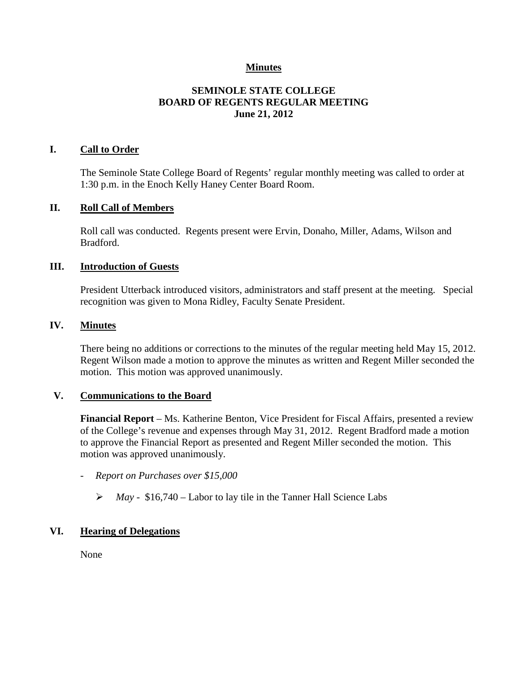### **Minutes**

# **SEMINOLE STATE COLLEGE BOARD OF REGENTS REGULAR MEETING June 21, 2012**

### **I. Call to Order**

The Seminole State College Board of Regents' regular monthly meeting was called to order at 1:30 p.m. in the Enoch Kelly Haney Center Board Room.

#### **II. Roll Call of Members**

Roll call was conducted. Regents present were Ervin, Donaho, Miller, Adams, Wilson and Bradford.

### **III. Introduction of Guests**

President Utterback introduced visitors, administrators and staff present at the meeting. Special recognition was given to Mona Ridley, Faculty Senate President.

#### **IV. Minutes**

There being no additions or corrections to the minutes of the regular meeting held May 15, 2012. Regent Wilson made a motion to approve the minutes as written and Regent Miller seconded the motion. This motion was approved unanimously.

### **V. Communications to the Board**

**Financial Report** – Ms. Katherine Benton, Vice President for Fiscal Affairs, presented a review of the College's revenue and expenses through May 31, 2012. Regent Bradford made a motion to approve the Financial Report as presented and Regent Miller seconded the motion. This motion was approved unanimously.

- *Report on Purchases over \$15,000*
	- *May -* \$16,740 Labor to lay tile in the Tanner Hall Science Labs

### **VI. Hearing of Delegations**

None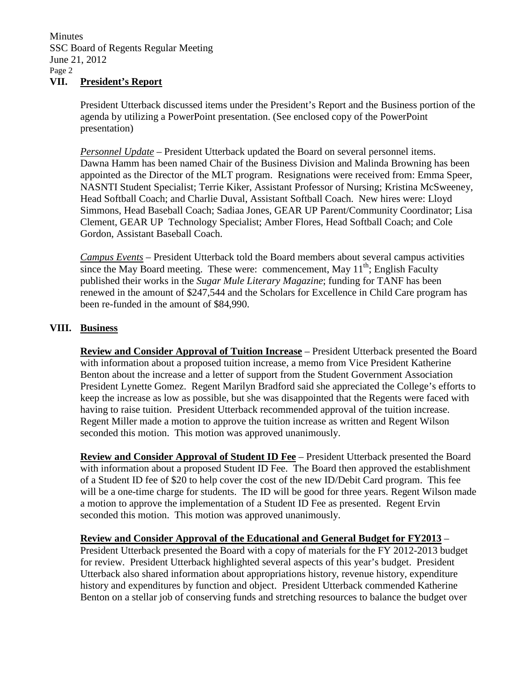President Utterback discussed items under the President's Report and the Business portion of the agenda by utilizing a PowerPoint presentation. (See enclosed copy of the PowerPoint presentation)

*Personnel Update* – President Utterback updated the Board on several personnel items. Dawna Hamm has been named Chair of the Business Division and Malinda Browning has been appointed as the Director of the MLT program. Resignations were received from: Emma Speer, NASNTI Student Specialist; Terrie Kiker, Assistant Professor of Nursing; Kristina McSweeney, Head Softball Coach; and Charlie Duval, Assistant Softball Coach. New hires were: Lloyd Simmons, Head Baseball Coach; Sadiaa Jones, GEAR UP Parent/Community Coordinator; Lisa Clement, GEAR UP Technology Specialist; Amber Flores, Head Softball Coach; and Cole Gordon, Assistant Baseball Coach.

*Campus Events* – President Utterback told the Board members about several campus activities since the May Board meeting. These were: commencement, May  $11<sup>th</sup>$ : English Faculty published their works in the *Sugar Mule Literary Magazine*; funding for TANF has been renewed in the amount of \$247,544 and the Scholars for Excellence in Child Care program has been re-funded in the amount of \$84,990.

# **VIII. Business**

**Review and Consider Approval of Tuition Increase** – President Utterback presented the Board with information about a proposed tuition increase, a memo from Vice President Katherine Benton about the increase and a letter of support from the Student Government Association President Lynette Gomez. Regent Marilyn Bradford said she appreciated the College's efforts to keep the increase as low as possible, but she was disappointed that the Regents were faced with having to raise tuition. President Utterback recommended approval of the tuition increase. Regent Miller made a motion to approve the tuition increase as written and Regent Wilson seconded this motion. This motion was approved unanimously.

**Review and Consider Approval of Student ID Fee** – President Utterback presented the Board with information about a proposed Student ID Fee. The Board then approved the establishment of a Student ID fee of \$20 to help cover the cost of the new ID/Debit Card program. This fee will be a one-time charge for students. The ID will be good for three years. Regent Wilson made a motion to approve the implementation of a Student ID Fee as presented. Regent Ervin seconded this motion. This motion was approved unanimously.

**Review and Consider Approval of the Educational and General Budget for FY2013** – President Utterback presented the Board with a copy of materials for the FY 2012-2013 budget for review. President Utterback highlighted several aspects of this year's budget. President Utterback also shared information about appropriations history, revenue history, expenditure history and expenditures by function and object. President Utterback commended Katherine Benton on a stellar job of conserving funds and stretching resources to balance the budget over